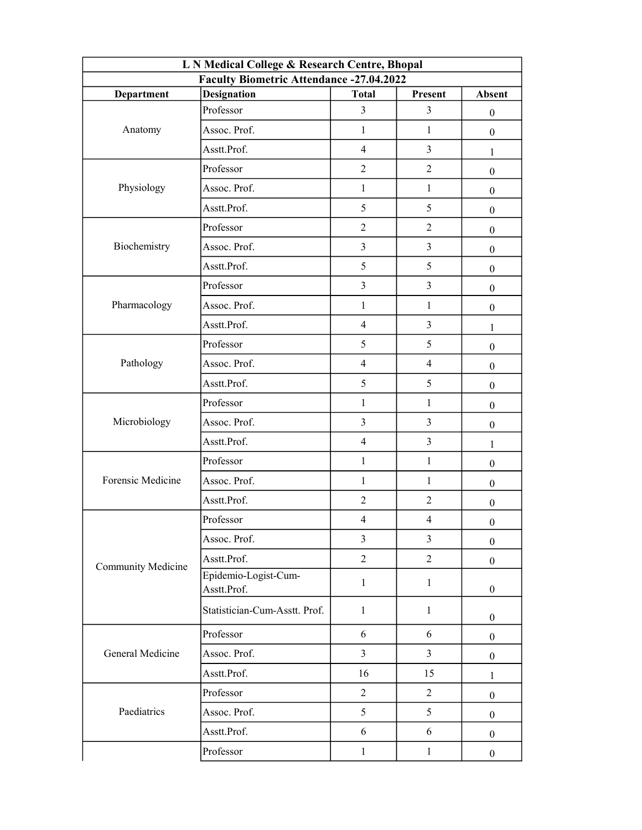| L N Medical College & Research Centre, Bhopal |                                     |                |                          |                  |  |  |
|-----------------------------------------------|-------------------------------------|----------------|--------------------------|------------------|--|--|
| Faculty Biometric Attendance -27.04.2022      |                                     |                |                          |                  |  |  |
| Department                                    | <b>Designation</b>                  | <b>Total</b>   | Present                  | <b>Absent</b>    |  |  |
| Anatomy                                       | Professor                           | 3              | $\overline{3}$           | $\mathbf{0}$     |  |  |
|                                               | Assoc. Prof.                        | $\mathbf{1}$   | $\mathbf{1}$             | $\boldsymbol{0}$ |  |  |
|                                               | Asstt.Prof.                         | $\overline{4}$ | $\overline{3}$           | 1                |  |  |
| Physiology                                    | Professor                           | $\overline{2}$ | $\overline{2}$           | $\boldsymbol{0}$ |  |  |
|                                               | Assoc. Prof.                        | $\mathbf{1}$   | $\mathbf{1}$             | $\mathbf{0}$     |  |  |
|                                               | Asstt.Prof.                         | 5              | 5                        | $\mathbf{0}$     |  |  |
| Biochemistry                                  | Professor                           | $\overline{2}$ | $\overline{2}$           | $\mathbf{0}$     |  |  |
|                                               | Assoc. Prof.                        | $\overline{3}$ | $\overline{3}$           | $\mathbf{0}$     |  |  |
|                                               | Asstt.Prof.                         | 5              | 5                        | $\mathbf{0}$     |  |  |
| Pharmacology                                  | Professor                           | $\overline{3}$ | $\overline{3}$           | $\boldsymbol{0}$ |  |  |
|                                               | Assoc. Prof.                        | $\mathbf{1}$   | $\mathbf{1}$             | $\boldsymbol{0}$ |  |  |
|                                               | Asstt.Prof.                         | $\overline{4}$ | $\overline{\mathbf{3}}$  | 1                |  |  |
| Pathology                                     | Professor                           | 5              | 5                        | $\overline{0}$   |  |  |
|                                               | Assoc. Prof.                        | $\overline{4}$ | $\overline{4}$           | $\mathbf{0}$     |  |  |
|                                               | Asstt.Prof.                         | 5              | 5                        | $\boldsymbol{0}$ |  |  |
|                                               | Professor                           | $\mathbf{1}$   | $\mathbf{1}$             | $\mathbf{0}$     |  |  |
| Microbiology                                  | Assoc. Prof.                        | $\overline{3}$ | 3                        | $\mathbf{0}$     |  |  |
|                                               | Asstt.Prof.                         | $\overline{4}$ | $\overline{\mathbf{3}}$  | 1                |  |  |
|                                               | Professor                           | $\mathbf{1}$   | $\mathbf{1}$             | $\mathbf{0}$     |  |  |
| Forensic Medicine                             | Assoc. Prof.                        | $\mathbf{1}$   | $\mathbf{1}$             | $\boldsymbol{0}$ |  |  |
|                                               | Asstt.Prof.                         | $\overline{2}$ | $\overline{2}$           | $\boldsymbol{0}$ |  |  |
| Community Medicine                            | Professor                           | $\overline{4}$ | $\overline{\mathcal{A}}$ | $\boldsymbol{0}$ |  |  |
|                                               | Assoc. Prof.                        | $\overline{3}$ | $\overline{3}$           | $\overline{0}$   |  |  |
|                                               | Asstt.Prof.                         | $\overline{2}$ | $\overline{2}$           | $\mathbf{0}$     |  |  |
|                                               | Epidemio-Logist-Cum-<br>Asstt.Prof. | $\mathbf{1}$   | $\mathbf{1}$             | $\boldsymbol{0}$ |  |  |
|                                               | Statistician-Cum-Asstt. Prof.       | $\mathbf{1}$   | $\mathbf{1}$             | $\overline{0}$   |  |  |
| General Medicine                              | Professor                           | 6              | 6                        | $\mathbf{0}$     |  |  |
|                                               | Assoc. Prof.                        | $\overline{3}$ | $\overline{3}$           | $\mathbf{0}$     |  |  |
|                                               | Asstt.Prof.                         | 16             | 15                       | $\mathbf{1}$     |  |  |
| Paediatrics                                   | Professor                           | $\overline{2}$ | $\overline{2}$           | $\mathbf{0}$     |  |  |
|                                               | Assoc. Prof.                        | 5              | 5                        | $\mathbf{0}$     |  |  |
|                                               | Asstt.Prof.                         | 6              | 6                        | $\mathbf{0}$     |  |  |
|                                               | Professor                           | $\mathbf{1}$   | $\mathbf{1}$             | $\boldsymbol{0}$ |  |  |